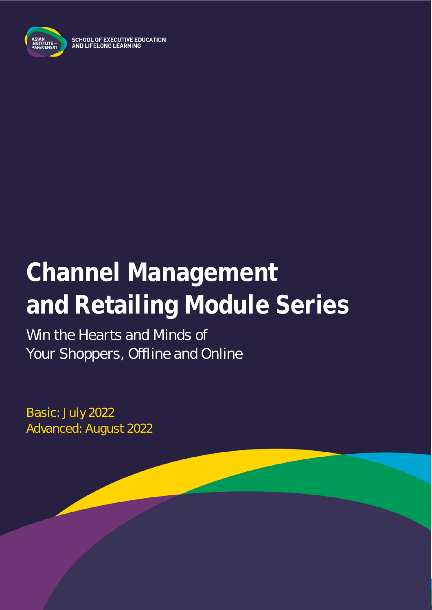

SCHOOL OF EXECUTIVE EDUCATION<br>AND LIFELONG LEARNING

# **Channel Management and Retailing Module Series**

Win the Hearts and Minds of Your Shoppers, Offline and Online

Basic: July 2022 Advanced: August 2022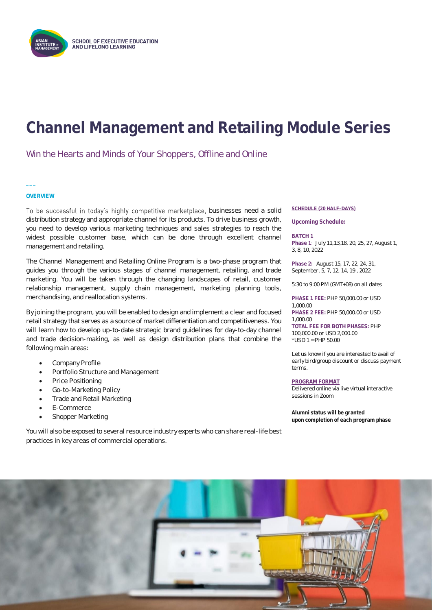

# **Channel Management and Retailing Module Series**

Win the Hearts and Minds of Your Shoppers, Offline and Online

# **OVERVIEW**

**\_\_\_**

To be successful in today's highly competitive marketplace, businesses need a solid distribution strategy and appropriate channel for its products. To drive business growth, you need to develop various marketing techniques and sales strategies to reach the widest possible customer base, which can be done through excellent channel management and retailing.

The Channel Management and Retailing Online Program is a two-phase program that guides you through the various stages of channel management, retailing, and trade marketing. You will be taken through the changing landscapes of retail, customer relationship management, supply chain management, marketing planning tools, merchandising, and reallocation systems.

By joining the program, you will be enabled to design and implement a clear and focused retail strategy that serves as a source of market differentiation and competitiveness. You will learn how to develop up-to-date strategic brand guidelines for day-to-day channel and trade decision-making, as well as design distribution plans that combine the following main areas:

- Company Profile
- Portfolio Structure and Management
- Price Positioning
- Go-to-Marketing Policy
- Trade and Retail Marketing
- E-Commerce
- Shopper Marketing

You will also be exposed to several resource industry experts who can share real-life best practices in key areas of commercial operations.

### **SCHEDULE (20 HALF-DAYS)**

**Upcoming Schedule:**

**BATCH 1 Phase 1**: July 11,13,18, 20, 25, 27, August 1, 3, 8, 10, 2022

**Phase 2:** August 15, 17, 22, 24, 31, September, 5, 7, 12, 14, 19 , 2022

5:30 to 9:00 PM (GMT+08) on all dates

**PHASE 1 FEE:** PHP 50,000.00 or USD 1,000.00 **PHASE 2 FEE:** PHP 50,000.00 or USD 1,000.00 **TOTAL FEE FOR BOTH PHASES:** PHP 100,000.00 or USD 2,000.00 \*USD 1 = PHP 50.00

Let us know if you are interested to avail of early bird/group discount or discuss payment terms.

**PROGRAM FORMAT** Delivered online via live virtual interactive sessions in Zoom

**Alumni status will be granted upon completion of each program phase** 

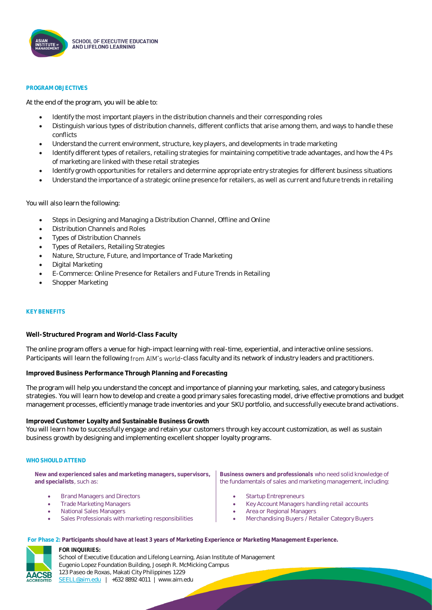

### **PROGRAM OBJECTIVES**

At the end of the program, you will be able to:

- Identify the most important players in the distribution channels and their corresponding roles
- Distinguish various types of distribution channels, different conflicts that arise among them, and ways to handle these conflicts
- Understand the current environment, structure, key players, and developments in trade marketing
- Identify different types of retailers, retailing strategies for maintaining competitive trade advantages, and how the 4 Ps of marketing are linked with these retail strategies
- Identify growth opportunities for retailers and determine appropriate entry strategies for different business situations
- Understand the importance of a strategic online presence for retailers, as well as current and future trends in retailing

You will also learn the following:

- Steps in Designing and Managing a Distribution Channel, Offline and Online
- Distribution Channels and Roles
- Types of Distribution Channels
- Types of Retailers, Retailing Strategies
- Nature, Structure, Future, and Importance of Trade Marketing
- Digital Marketing
- E-Commerce: Online Presence for Retailers and Future Trends in Retailing
- Shopper Marketing

### **KEY BENEFITS**

**Well-Structured Program and World-Class Faculty**

The online program offers a venue for high-impact learning with real-time, experiential, and interactive online sessions. Participants will learn the following from AIM's world-class faculty and its network of industry leaders and practitioners.

**Improved Business Performance Through Planning and Forecasting**

The program will help you understand the concept and importance of planning your marketing, sales, and category business strategies. You will learn how to develop and create a good primary sales forecasting model, drive effective promotions and budget management processes, efficiently manage trade inventories and your SKU portfolio, and successfully execute brand activations.

**Improved Customer Loyalty and Sustainable Business Growth**

You will learn how to successfully engage and retain your customers through key account customization, as well as sustain business growth by designing and implementing excellent shopper loyalty programs.

### **WHO SHOULD ATTEND**

**New and experienced sales and marketing managers, supervisors, and specialists**, such as:

- Brand Managers and Directors
- Trade Marketing Managers
- National Sales Managers
- Sales Professionals with marketing responsibilities

**Business owners and professionals** who need solid knowledge of the fundamentals of sales and marketing management, including:

- Startup Entrepreneurs
- Key Account Managers handling retail accounts
- Area or Regional Managers
- Merchandising Buyers / Retailer Category Buyers

**For Phase 2: Participants should have at least 3 years of Marketing Experience or Marketing Management Experience.**



**FOR INQUIRIES:** School of Executive Education and Lifelong Learning, Asian Institute of Management Eugenio Lopez Foundation Building, Joseph R. McMicking Campus 123 Paseo de Roxas, Makati City Philippines 1229 [SEELL@aim.edu](mailto:SEELL@aim.edu) | +632 8892 4011 | www.aim.edu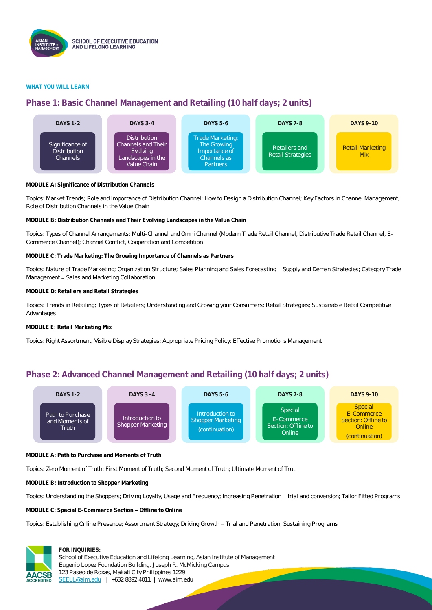

# **WHAT YOU WILL LEARN**

# **Phase 1: Basic Channel Management and Retailing (10 half days; 2 units)**



**MODULE A: Significance of Distribution Channels**

Topics: Market Trends; Role and Importance of Distribution Channel; How to Design a Distribution Channel; Key Factors in Channel Management, Role of Distribution Channels in the Value Chain

**MODULE B: Distribution Channels and Their Evolving Landscapes in the Value Chain**

Topics: Types of Channel Arrangements; Multi-Channel and Omni Channel (Modern Trade Retail Channel, Distributive Trade Retail Channel, E-Commerce Channel); Channel Conflict, Cooperation and Competition

**MODULE C: Trade Marketing: The Growing Importance of Channels as Partners**

Topics: Nature of Trade Marketing; Organization Structure; Sales Planning and Sales Forecasting - Supply and Deman Strategies; Category Trade Management - Sales and Marketing Collaboration

**MODULE D: Retailers and Retail Strategies**

Topics: Trends in Retailing; Types of Retailers; Understanding and Growing your Consumers; Retail Strategies; Sustainable Retail Competitive Advantages

**MODULE E: Retail Marketing Mix**

Topics: Right Assortment; Visible Display Strategies; Appropriate Pricing Policy; Effective Promotions Management

# **Phase 2: Advanced Channel Management and Retailing (10 half days; 2 units)**



**MODULE A: Path to Purchase and Moments of Truth**

Topics: Zero Moment of Truth; First Moment of Truth; Second Moment of Truth; Ultimate Moment of Truth

**MODULE B: Introduction to Shopper Marketing** 

Topics: Understanding the Shoppers; Driving Loyalty, Usage and Frequency; Increasing Penetration - trial and conversion; Tailor Fitted Programs

**MODULE C: Special E-Commerce Section - Offline to Online** 

Topics: Establishing Online Presence; Assortment Strategy; Driving Growth - Trial and Penetration; Sustaining Programs



# **FOR INQUIRIES:**

School of Executive Education and Lifelong Learning, Asian Institute of Management Eugenio Lopez Foundation Building, Joseph R. McMicking Campus 123 Paseo de Roxas, Makati City Philippines 1229 [SEELL@aim.edu](mailto:SEELL@aim.edu) | +632 8892 4011 | www.aim.edu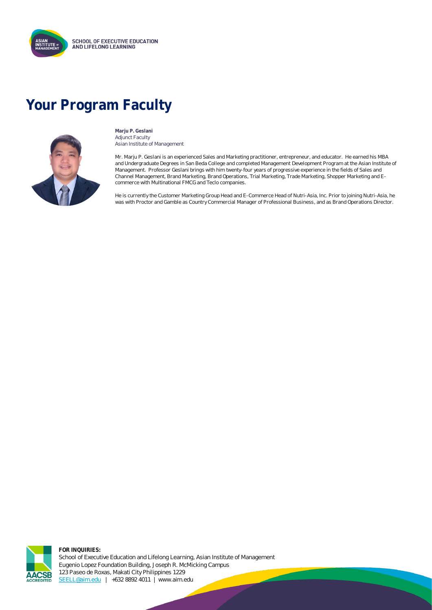

# **Your Program Faculty**



**Marju P. Geslani** Adjunct Faculty Asian Institute of Management

Mr. Marju P. Geslani is an experienced Sales and Marketing practitioner, entrepreneur, and educator. He earned his MBA and Undergraduate Degrees in San Beda College and completed Management Development Program at the Asian Institute of Management. Professor Geslani brings with him twenty-four years of progressive experience in the fields of Sales and Channel Management, Brand Marketing, Brand Operations, Trial Marketing, Trade Marketing, Shopper Marketing and Ecommerce with Multinational FMCG and Teclo companies.

He is currently the Customer Marketing Group Head and E-Commerce Head of Nutri-Asia, Inc. Prior to joining Nutri-Asia, he was with Proctor and Gamble as Country Commercial Manager of Professional Business, and as Brand Operations Director.



**FOR INQUIRIES:** School of Executive Education and Lifelong Learning, Asian Institute of Management Eugenio Lopez Foundation Building, Joseph R. McMicking Campus 123 Paseo de Roxas, Makati City Philippines 1229 [SEELL@aim.edu](mailto:SEELL@aim.edu) | +632 8892 4011 | www.aim.edu